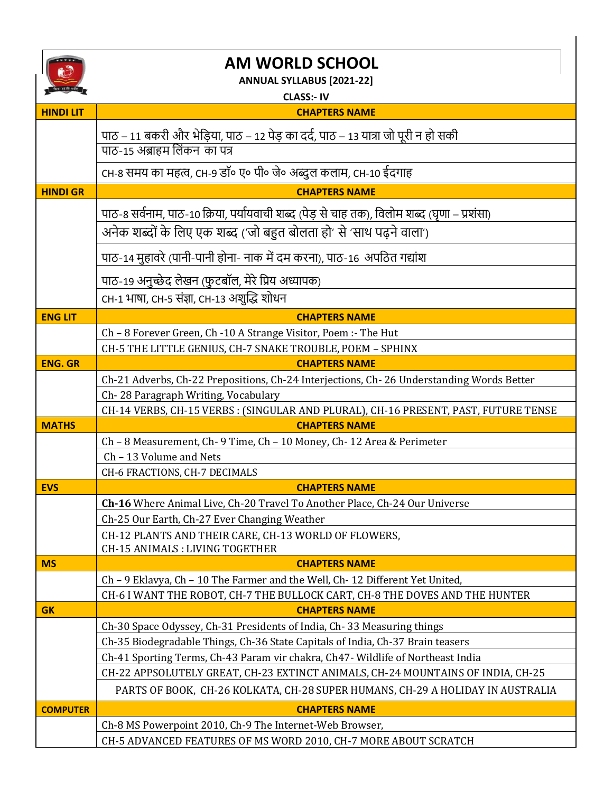

## **AM WORLD SCHOOL**

**ANNUAL SYLLABUS [2021-22]**

|                  | ANNUAL STLLADUS (2021-22)                                                                                                    |
|------------------|------------------------------------------------------------------------------------------------------------------------------|
| <b>HINDI LIT</b> | <b>CLASS:- IV</b><br><b>CHAPTERS NAME</b>                                                                                    |
|                  |                                                                                                                              |
|                  | पाठ – 11 बकरी और भेड़िया, पाठ – 12 पेड़ का दर्द, पाठ – 13 यात्रा जो पूरी न हो सकी                                            |
|                  | पाठ-15 अब्राहम लिंकन)का पत्र                                                                                                 |
|                  | CH-8 समय का महत्व, CH-9 डॉ॰ ए॰ पी॰ जे॰ अब्दुल कलाम, CH-10 ईदगाह                                                              |
| <b>HINDI GR</b>  | <b>CHAPTERS NAME</b>                                                                                                         |
|                  | पाठ-8 सर्वनाम, पाठ-10 क्रिया, पर्यायवाची शब्द (पेड़ से चाह तक), विलोम शब्द (घृणा – प्रशंसा)                                  |
|                  | अनेक शब्दों के लिए एक शब्द ('जो बहुत बोलता हो' से 'साथ पढ़ने वाला')                                                          |
|                  | पाठ-14 मुहावरे (पानी-पानी होना- नाक में दम करना), पाठ-16 अपठित गद्यांश                                                       |
|                  | पाठ-19 अनुच्छेद लेखन (फुटबॉल, मेरे प्रिय अध्यापक)                                                                            |
|                  | CH-1 भाषा, CH-5 संज्ञा, CH-13 अशुद्धि शोधन                                                                                   |
|                  |                                                                                                                              |
| <b>ENG LIT</b>   | <b>CHAPTERS NAME</b>                                                                                                         |
|                  | Ch - 8 Forever Green, Ch -10 A Strange Visitor, Poem :- The Hut<br>CH-5 THE LITTLE GENIUS, CH-7 SNAKE TROUBLE, POEM - SPHINX |
| <b>ENG. GR</b>   | <b>CHAPTERS NAME</b>                                                                                                         |
|                  | Ch-21 Adverbs, Ch-22 Prepositions, Ch-24 Interjections, Ch-26 Understanding Words Better                                     |
|                  | Ch-28 Paragraph Writing, Vocabulary                                                                                          |
|                  | CH-14 VERBS, CH-15 VERBS : (SINGULAR AND PLURAL), CH-16 PRESENT, PAST, FUTURE TENSE                                          |
| <b>MATHS</b>     | <b>CHAPTERS NAME</b>                                                                                                         |
|                  | Ch - 8 Measurement, Ch- 9 Time, Ch - 10 Money, Ch- 12 Area & Perimeter                                                       |
|                  | Ch - 13 Volume and Nets                                                                                                      |
|                  | CH-6 FRACTIONS, CH-7 DECIMALS                                                                                                |
| <b>EVS</b>       | <b>CHAPTERS NAME</b>                                                                                                         |
|                  | Ch-16 Where Animal Live, Ch-20 Travel To Another Place, Ch-24 Our Universe                                                   |
|                  | Ch-25 Our Earth, Ch-27 Ever Changing Weather                                                                                 |
|                  | CH-12 PLANTS AND THEIR CARE, CH-13 WORLD OF FLOWERS,<br><b>CH-15 ANIMALS: LIVING TOGETHER</b>                                |
| <b>MS</b>        | <b>CHAPTERS NAME</b>                                                                                                         |
|                  | Ch - 9 Eklavya, Ch - 10 The Farmer and the Well, Ch- 12 Different Yet United,                                                |
|                  | CH-6 I WANT THE ROBOT, CH-7 THE BULLOCK CART, CH-8 THE DOVES AND THE HUNTER                                                  |
| <b>GK</b>        | <b>CHAPTERS NAME</b>                                                                                                         |
|                  | Ch-30 Space Odyssey, Ch-31 Presidents of India, Ch-33 Measuring things                                                       |
|                  | Ch-35 Biodegradable Things, Ch-36 State Capitals of India, Ch-37 Brain teasers                                               |
|                  | Ch-41 Sporting Terms, Ch-43 Param vir chakra, Ch47- Wildlife of Northeast India                                              |
|                  | CH-22 APPSOLUTELY GREAT, CH-23 EXTINCT ANIMALS, CH-24 MOUNTAINS OF INDIA, CH-25                                              |
|                  | PARTS OF BOOK, CH-26 KOLKATA, CH-28 SUPER HUMANS, CH-29 A HOLIDAY IN AUSTRALIA                                               |
| <b>COMPUTER</b>  | <b>CHAPTERS NAME</b>                                                                                                         |
|                  | Ch-8 MS Powerpoint 2010, Ch-9 The Internet-Web Browser,                                                                      |
|                  | CH-5 ADVANCED FEATURES OF MS WORD 2010, CH-7 MORE ABOUT SCRATCH                                                              |